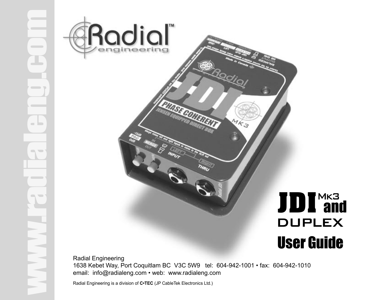



Radial Engineering 1638 Kebet Way, Port Coquitlam BC V3C 5W9 tel: 604-942-1001 • fax: 604-942-1010 email: info@radialeng.com • web: www.radialeng.com

Radial Engineering is a division of **C•TEC** (JP CableTek Electronics Ltd.)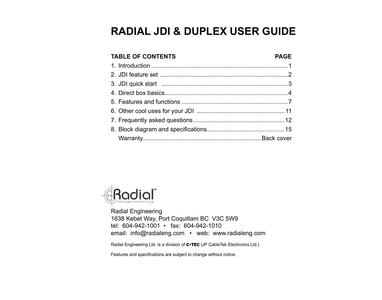# **RADIAL JDI & DUPLEX USER GUIDE**

| <b>TABLE OF CONTENTS</b> | <b>PAGE</b> |
|--------------------------|-------------|
|                          |             |
|                          |             |
|                          |             |
|                          |             |
|                          |             |
|                          |             |
|                          |             |
|                          |             |
|                          |             |



Radial Engineering 1638 Kebet Way, Port Coquitlam BC V3C 5W9 tel: 604-942-1001 • fax: 604-942-1010 email: info@radialeng.com • web: www.radialeng.com

Radial Engineering Ltd. is a division of C•TEC (JP CableTek Electronics Ltd.)

Features and specifications are subject to change without notice.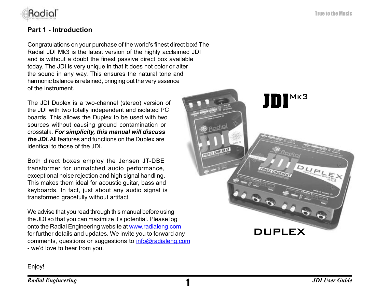

# **Part 1 - Introduction**

Congratulations on your purchase of the world's finest direct box! The Radial JDI Mk3 is the latest version of the highly acclaimed JDI and is without a doubt the finest passive direct box available today. The JDI is very unique in that it does not color or alter the sound in any way. This ensures the natural tone and harmonic balance is retained, bringing out the very essence of the instrument.

The JDI Duplex is a two-channel (stereo) version of the JDI with two totally independent and isolated PC boards. This allows the Duplex to be used with two sources without causing ground contamination or crosstalk. *For simplicity, this manual will discuss the JDI.* All features and functions on the Duplex are identical to those of the JDI.

Both direct boxes employ the Jensen JT-DBE transformer for unmatched audio performance, exceptional noise rejection and high signal handling. This makes them ideal for acoustic guitar, bass and keyboards. In fact, just about any audio signal is transformed gracefully without artifact.

We advise that you read through this manual before using the JDI so that you can maximize it's potential. Please log onto the Radial Engineering website at www.radialeng.com for further details and updates. We invite you to forward any comments, questions or suggestions to info@radialeng.com - we'd love to hear from you.



Enjoy!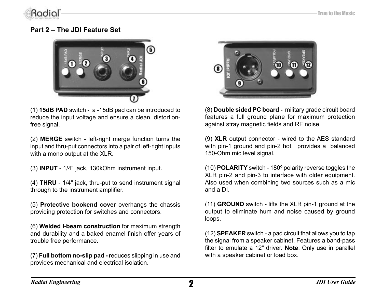

# **Part 2 – The JDI Feature Set**



(1) **15dB PAD** switch - a -15dB pad can be introduced to reduce the input voltage and ensure a clean, distortionfree signal.

(2) **MERGE** switch - left-right merge function turns the input and thru-put connectors into a pair of left-right inputs with a mono output at the XLR.

(3) **INPUT** - 1/4" jack, 130kOhm instrument input.

(4) **THRU** - 1/4" jack, thru-put to send instrument signal through to the instrument amplifier.

(5) **Protective bookend cover** overhangs the chassis providing protection for switches and connectors.

(6) **Welded I-beam construction** for maximum strength and durability and a baked enamel finish offer years of trouble free performance.

(7) **Full bottom no-slip pad -** reduces slipping in use and provides mechanical and electrical isolation.



(8) **Double sided PC board -** military grade circuit board features a full ground plane for maximum protection against stray magnetic fields and RF noise.

(9) **XLR** output connector - wired to the AES standard with pin-1 ground and pin-2 hot, provides a balanced 150-Ohm mic level signal.

(10) **POLARITY** switch - 180º polarity reverse toggles the XLR pin-2 and pin-3 to interface with older equipment. Also used when combining two sources such as a mic and a DI.

(11) **GROUND** switch - lifts the XLR pin-1 ground at the output to eliminate hum and noise caused by ground loops.

(12) **SPEAKER** switch - a pad circuit that allows you to tap the signal from a speaker cabinet. Features a band-pass filter to emulate a 12" driver. **Note**: Only use in parallel with a speaker cabinet or load box.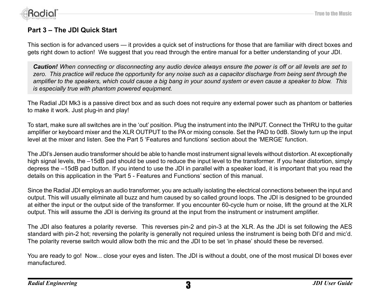



# **Part 3 – The JDI Quick Start**

This section is for advanced users — it provides a quick set of instructions for those that are familiar with direct boxes and gets right down to action! We suggest that you read through the entire manual for a better understanding of your JDI.

*Caution! When connecting or disconnecting any audio device always ensure the power is off or all levels are set to*  zero. This practice will reduce the opportunity for any noise such as a capacitor discharge from being sent through the *amplifier to the speakers, which could cause a big bang in your sound system or even cause a speaker to blow. This is especially true with phantom powered equipment.*

The Radial JDI Mk3 is a passive direct box and as such does not require any external power such as phantom or batteries to make it work. Just plug-in and play!

To start, make sure all switches are in the 'out' position. Plug the instrument into the INPUT. Connect the THRU to the guitar amplifier or keyboard mixer and the XLR OUTPUT to the PA or mixing console. Set the PAD to 0dB. Slowly turn up the input level at the mixer and listen. See the Part 5 'Features and functions' section about the 'MERGE' function.

The JDI's Jensen audio transformer should be able to handle most instrument signal levels without distortion. At exceptionally high signal levels, the –15dB pad should be used to reduce the input level to the transformer. If you hear distortion, simply depress the –15dB pad button. If you intend to use the JDI in parallel with a speaker load, it is important that you read the details on this application in the 'Part 5 - Features and Functions' section of this manual.

Since the Radial JDI employs an audio transformer, you are actually isolating the electrical connections between the input and output. This will usually eliminate all buzz and hum caused by so called ground loops. The JDI is designed to be grounded at either the input or the output side of the transformer. If you encounter 60-cycle hum or noise, lift the ground at the XLR output. This will assume the JDI is deriving its ground at the input from the instrument or instrument amplifier.

The JDI also features a polarity reverse. This reverses pin-2 and pin-3 at the XLR. As the JDI is set following the AES standard with pin-2 hot; reversing the polarity is generally not required unless the instrument is being both DI'd and mic'd. The polarity reverse switch would allow both the mic and the JDI to be set 'in phase' should these be reversed.

You are ready to go! Now... close your eyes and listen. The JDI is without a doubt, one of the most musical DI boxes ever manufactured.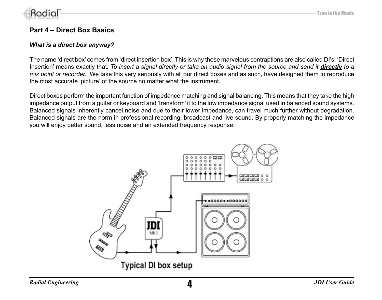

# **Part 4 – Direct Box Basics**

#### *What is a direct box anyway?*

The name 'direct box' comes from 'direct insertion box'. This is why these marvelous contraptions are also called DI's. 'Direct Insertion' means exactly that: To insert a signal directly or take an audio signal from the source and send it **directly** to a *mix point or recorder.* We take this very seriously with all our direct boxes and as such, have designed them to reproduce the most accurate 'picture' of the source no matter what the instrument.

Direct boxes perform the important function of impedance matching and signal balancing. This means that they take the high impedance output from a guitar or keyboard and 'transform' it to the low impedance signal used in balanced sound systems. Balanced signals inherently cancel noise and due to their lower impedance, can travel much further without degradation. Balanced signals are the norm in professional recording, broadcast and live sound. By properly matching the impedance you will enjoy better sound, less noise and an extended frequency response.

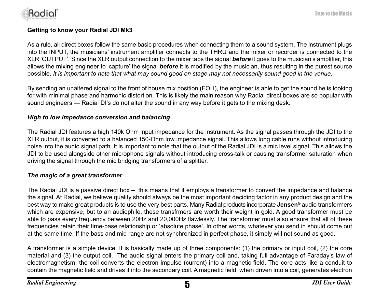

### **Getting to know your Radial JDI Mk3**

As a rule, all direct boxes follow the same basic procedures when connecting them to a sound system. The instrument plugs into the INPUT, the musicians' instrument amplifier connects to the THRU and the mixer or recorder is connected to the XLR 'OUTPUT'. Since the XLR output connection to the mixer taps the signal *before* it goes to the musician's amplifier, this allows the mixing engineer to 'capture' the signal *before* it is modified by the musician, thus resulting in the purest source possible. *It is important to note that what may sound good on stage may not necessarily sound good in the venue.*

By sending an unaltered signal to the front of house mix position (FOH), the engineer is able to get the sound he is looking for with minimal phase and harmonic distortion. This is likely the main reason why Radial direct boxes are so popular with sound engineers — Radial DI's do not alter the sound in any way before it gets to the mixing desk.

#### *High to low impedance conversion and balancing*

The Radial JDI features a high 140k Ohm input impedance for the instrument. As the signal passes through the JDI to the XLR output, it is converted to a balanced 150-Ohm low impedance signal. This allows long cable runs without introducing noise into the audio signal path. It is important to note that the output of the Radial JDI is a mic level signal. This allows the JDI to be used alongside other microphone signals without introducing cross-talk or causing transformer saturation when driving the signal through the mic bridging transformers of a splitter.

### *The magic of a great transformer*

The Radial JDI is a passive direct box – this means that it employs a transformer to convert the impedance and balance the signal. At Radial, we believe quality should always be the most important deciding factor in any product design and the best way to make great products is to use the very best parts. Many Radial products incorporate **Jensen®** audio transformers which are expensive, but to an audiophile, these transfrmers are worth their weight in gold. A good transformer must be able to pass every frequency between 20Hz and 20,000Hz flawlessly. The transformer must also ensure that all of these frequencies retain their time-base relationship or 'absolute phase'. In other words, whatever you send in should come out at the same time. If the bass and mid range are not synchronized in perfect phase, it simply will not sound as good.

A transformer is a simple device. It is basically made up of three components: (1) the primary or input coil, (2) the core material and (3) the output coil. The audio signal enters the primary coil and, taking full advantage of Faraday's law of electromagnetism, the coil converts the electron impulse (current) into a magnetic field. The core acts like a conduit to contain the magnetic field and drives it into the secondary coil. A magnetic field, when driven into a coil, generates electron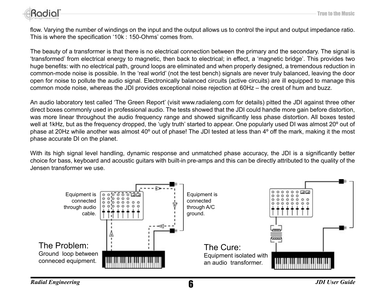

flow. Varying the number of windings on the input and the output allows us to control the input and output impedance ratio. This is where the specification '10k : 150-Ohms' comes from.

The beauty of a transformer is that there is no electrical connection between the primary and the secondary. The signal is 'transformed' from electrical energy to magnetic, then back to electrical; in effect, a 'magnetic bridge'. This provides two huge benefits: with no electrical path, ground loops are eliminated and when properly designed, a tremendous reduction in common-mode noise is possible. In the 'real world' (not the test bench) signals are never truly balanced, leaving the door open for noise to pollute the audio signal. Electronically balanced circuits (active circuits) are ill equipped to manage this common mode noise, whereas the JDI provides exceptional noise rejection at 60Hz – the crest of hum and buzz.

An audio laboratory test called 'The Green Report' (visit www.radialeng.com for details) pitted the JDI against three other direct boxes commonly used in professional audio. The tests showed that the JDI could handle more gain before distortion, was more linear throughout the audio frequency range and showed significantly less phase distortion. All boxes tested well at 1kHz, but as the frequency dropped, the 'ugly truth' started to appear. One popularly used DI was almost 20° out of phase at 20Hz while another was almost 40° out of phase! The JDI tested at less than 4° off the mark, making it the most phase accurate DI on the planet.

With its high signal level handling, dynamic response and unmatched phase accuracy, the JDI is a significantly better choice for bass, keyboard and acoustic guitars with built-in pre-amps and this can be directly attributed to the quality of the Jensen transformer we use.

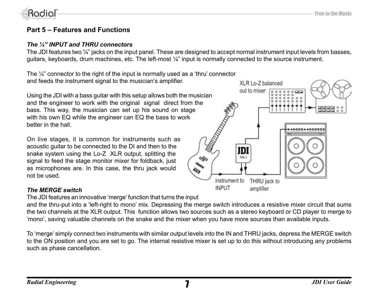

# **Part 5 – Features and Functions**

#### *The ¼" INPUT and THRU connectors*

The JDI features two  $\frac{1}{4}$  iacks on the input panel. These are designed to accept normal instrument input levels from basses, guitars, keyboards, drum machines, etc. The left-most ¼" input is normally connected to the source instrument.

The  $\frac{1}{4}$ " connector to the right of the input is normally used as a 'thru' connector and feeds the instrument signal to the musician's amplifier.

Using the JDI with a bass guitar with this setup allows both the musician and the engineer to work with the original signal direct from the bass. This way, the musician can set up his sound on stage with his own EQ while the engineer can EQ the bass to work better in the hall.

On live stages, it is common for instruments such as acoustic guitar to be connected to the DI and then to the snake system using the Lo-Z XLR output, splitting the signal to feed the stage monitor mixer for foldback, just as microphones are. In this case, the thru jack would not be used.

### *The MERGE switch*

The JDI features an innovative 'merge' function that turns the input

and the thru-put into a 'left-right to mono' mix. Depressing the merge switch introduces a resistive mixer circuit that sums the two channels at the XLR output. This function allows two sources such as a stereo keyboard or CD player to merge to 'mono', saving valuable channels on the snake and the mixer when you have more sources than available inputs.

To 'merge' simply connect two instruments with similar output levels into the IN and THRU jacks, depress the MERGE switch to the ON position and you are set to go. The internal resistive mixer is set up to do this without introducing any problems such as phase cancellation.

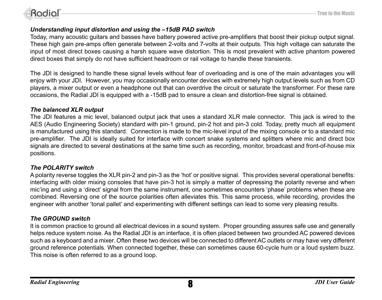

### *Understanding input distortion and using the –15dB PAD switch*

Today, many acoustic guitars and basses have battery powered active pre-amplifiers that boost their pickup output signal. These high gain pre-amps often generate between 2-volts and 7-volts at their outputs. This high voltage can saturate the input of most direct boxes causing a harsh square wave distortion. This is most prevalent with active phantom powered direct boxes that simply do not have sufficient headroom or rail voltage to handle these transients.

The JDI is designed to handle these signal levels without fear of overloading and is one of the main advantages you will enjoy with your JDI. However, you may occasionally encounter devices with extremely high output levels such as from CD players, a mixer output or even a headphone out that can overdrive the circuit or saturate the transformer. For these rare occasions, the Radial JDI is equipped with a -15dB pad to ensure a clean and distortion-free signal is obtained.

#### *The balanced XLR output*

The JDI features a mic level, balanced output jack that uses a standard XLR male connector. This jack is wired to the AES (Audio Engineering Society) standard with pin-1 ground, pin-2 hot and pin-3 cold. Today, pretty much all equipment is manufactured using this standard. Connection is made to the mic-level input of the mixing console or to a standard mic pre-amplifier. The JDI is ideally suited for interface with concert snake systems and splitters where mic and direct box signals are directed to several destinations at the same time such as recording, monitor, broadcast and front-of-house mix positions.

#### *The POLARITY switch*

A polarity reverse toggles the XLR pin-2 and pin-3 as the 'hot' or positive signal. This provides several operational benefits: interfacing with older mixing consoles that have pin-3 hot is simply a matter of depressing the polarity reverse and when mic'ing and using a 'direct' signal from the same instrument, one sometimes encounters 'phase' problems when these are combined. Reversing one of the source polarities often alleviates this. This same process, while recording, provides the engineer with another 'tonal pallet' and experimenting with different settings can lead to some very pleasing results.

### *The GROUND switch*

It is common practice to ground all electrical devices in a sound system. Proper grounding assures safe use and generally helps reduce system noise. As the Radial JDI is an interface, it is often placed between two grounded AC powered devices such as a keyboard and a mixer. Often these two devices will be connected to different AC outlets or may have very different ground reference potentials. When connected together, these can sometimes cause 60-cycle hum or a loud system buzz. This noise is often referred to as a ground loop.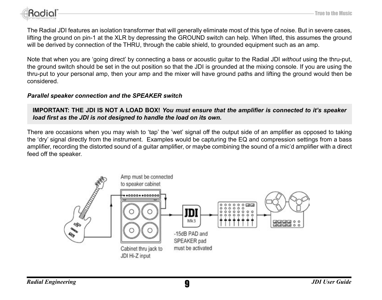

The Radial JDI features an isolation transformer that will generally eliminate most of this type of noise. But in severe cases, lifting the ground on pin-1 at the XLR by depressing the GROUND switch can help. When lifted, this assumes the ground will be derived by connection of the THRU, through the cable shield, to grounded equipment such as an amp.

Note that when you are 'going direct' by connecting a bass or acoustic guitar to the Radial JDI *without* using the thru-put, the ground switch should be set in the out position so that the JDI is grounded at the mixing console. If you are using the thru-put to your personal amp, then your amp and the mixer will have ground paths and lifting the ground would then be considered.

### *Parallel speaker connection and the SPEAKER switch*

**IMPORTANT: THE JDI IS NOT A LOAD BOX!** *You must ensure that the amplifier is connected to it's speaker load first as the JDI is not designed to handle the load on its own.*

There are occasions when you may wish to 'tap' the 'wet' signal off the output side of an amplifier as opposed to taking the 'dry' signal directly from the instrument. Examples would be capturing the EQ and compression settings from a bass amplifier, recording the distorted sound of a guitar amplifier, or maybe combining the sound of a mic'd amplifier with a direct feed off the speaker.

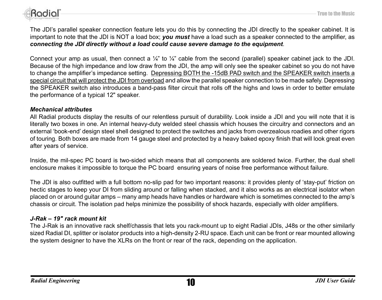

The JDI's parallel speaker connection feature lets you do this by connecting the JDI directly to the speaker cabinet. It is important to note that the JDI is NOT a load box; *you must* have a load such as a speaker connected to the amplifier, as *connecting the JDI directly without a load could cause severe damage to the equipment*.

Connect your amp as usual, then connect a  $\frac{1}{4}$ " to  $\frac{1}{4}$ " cable from the second (parallel) speaker cabinet jack to the JDI. Because of the high impedance and low draw from the JDI, the amp will only see the speaker cabinet so you do not have to change the amplifier's impedance setting. Depressing BOTH the -15dB PAD switch and the SPEAKER switch inserts a special circuit that will protect the JDI from overload and allow the parallel speaker connection to be made safely. Depressing the SPEAKER switch also introduces a band-pass filter circuit that rolls off the highs and lows in order to better emulate the performance of a typical 12" speaker.

#### *Mechanical attributes*

All Radial products display the results of our relentless pursuit of durability. Look inside a JDI and you will note that it is literally two boxes in one. An internal heavy-duty welded steel chassis which houses the circuitry and connectors and an external 'book-end' design steel shell designed to protect the switches and jacks from overzealous roadies and other rigors of touring. Both boxes are made from 14 gauge steel and protected by a heavy baked epoxy finish that will look great even after years of service.

Inside, the mil-spec PC board is two-sided which means that all components are soldered twice. Further, the dual shell enclosure makes it impossible to torque the PC board ensuring years of noise free performance without failure.

The JDI is also outfitted with a full bottom no-slip pad for two important reasons: it provides plenty of 'stay-put' friction on hectic stages to keep your DI from sliding around or falling when stacked, and it also works as an electrical isolator when placed on or around guitar amps – many amp heads have handles or hardware which is sometimes connected to the amp's chassis or circuit. The isolation pad helps minimize the possibility of shock hazards, especially with older amplifiers.

### *J-Rak – 19" rack mount kit*

The J-Rak is an innovative rack shelf/chassis that lets you rack-mount up to eight Radial JDIs, J48s or the other similarly sized Radial DI, splitter or isolator products into a high-density 2-RU space. Each unit can be front or rear mounted allowing the system designer to have the XLRs on the front or rear of the rack, depending on the application.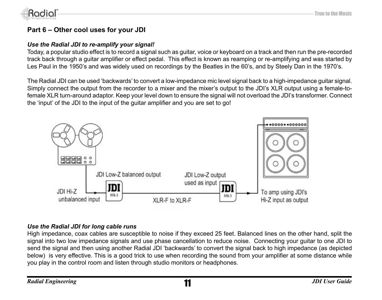

# **Part 6 – Other cool uses for your JDI**

### *Use the Radial JDI to re-amplify your signal!*

Today, a popular studio effect is to record a signal such as guitar, voice or keyboard on a track and then run the pre-recorded track back through a guitar amplifier or effect pedal. This effect is known as reamping or re-amplifying and was started by Les Paul in the 1950's and was widely used on recordings by the Beatles in the 60's, and by Steely Dan in the 1970's.

The Radial JDI can be used 'backwards' to convert a low-impedance mic level signal back to a high-impedance guitar signal. Simply connect the output from the recorder to a mixer and the mixer's output to the JDI's XLR output using a female-tofemale XLR turn-around adaptor. Keep your level down to ensure the signal will not overload the JDI's transformer. Connect the 'input' of the JDI to the input of the guitar amplifier and you are set to go!



### *Use the Radial JDI for long cable runs*

High impedance, coax cables are susceptible to noise if they exceed 25 feet. Balanced lines on the other hand, split the signal into two low impedance signals and use phase cancellation to reduce noise. Connecting your guitar to one JDI to send the signal and then using another Radial JDI 'backwards' to convert the signal back to high impedance (as depicted below) is very effective. This is a good trick to use when recording the sound from your amplifier at some distance while you play in the control room and listen through studio monitors or headphones.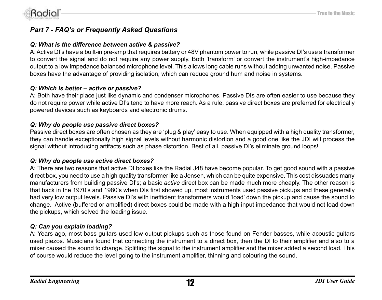

# *Part 7 - FAQ's or Frequently Asked Questions*

#### *Q: What is the difference between active & passive?*

A: Active DI's have a built-in pre-amp that requires battery or 48V phantom power to run, while passive DI's use a transformer to convert the signal and do not require any power supply. Both 'transform' or convert the instrument's high-impedance output to a low impedance balanced microphone level. This allows long cable runs without adding unwanted noise. Passive boxes have the advantage of providing isolation, which can reduce ground hum and noise in systems.

#### *Q: Which is better – active or passive?*

A: Both have their place just like dynamic and condenser microphones. Passive DIs are often easier to use because they do not require power while active DI's tend to have more reach. As a rule, passive direct boxes are preferred for electrically powered devices such as keyboards and electronic drums.

#### *Q: Why do people use passive direct boxes?*

Passive direct boxes are often chosen as they are 'plug & play' easy to use. When equipped with a high quality transformer, they can handle exceptionally high signal levels without harmonic distortion and a good one like the JDI will process the signal without introducing artifacts such as phase distortion. Best of all, passive DI's eliminate ground loops!

#### *Q: Why do people use active direct boxes?*

A: There are two reasons that active DI boxes like the Radial J48 have become popular. To get good sound with a passive direct box, you need to use a high quality transformer like a Jensen, which can be quite expensive. This cost dissuades many manufacturers from building passive DI's; a basic *active* direct box can be made much more cheaply. The other reason is that back in the 1970's and 1980's when DIs first showed up, most instruments used passive pickups and these generally had very low output levels. Passive DI's with inefficient transformers would 'load' down the pickup and cause the sound to change. Active (buffered or amplified) direct boxes could be made with a high input impedance that would not load down the pickups, which solved the loading issue.

### *Q: Can you explain loading?*

A: Years ago, most bass guitars used low output pickups such as those found on Fender basses, while acoustic guitars used piezos. Musicians found that connecting the instrument to a direct box, then the DI to their amplifier and also to a mixer caused the sound to change. Splitting the signal to the instrument amplifier and the mixer added a second load. This of course would reduce the level going to the instrument amplifier, thinning and colouring the sound.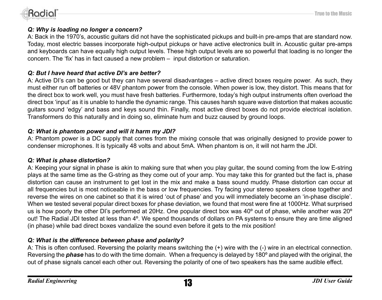

### *Q: Why is loading no longer a concern?*

A: Back in the 1970's, acoustic guitars did not have the sophisticated pickups and built-in pre-amps that are standard now. Today, most electric basses incorporate high-output pickups or have active electronics built in. Acoustic guitar pre-amps and keyboards can have equally high output levels. These high output levels are so powerful that loading is no longer the concern. The 'fix' has in fact caused a new problem – input distortion or saturation.

# *Q: But I have heard that active DI's are better?*

A: Active DI's can be good but they can have several disadvantages – active direct boxes require power. As such, they must either run off batteries or 48V phantom power from the console. When power is low, they distort. This means that for the direct box to work well, you must have fresh batteries. Furthermore, today's high output instruments often overload the direct box 'input' as it is unable to handle the dynamic range. This causes harsh square wave distortion that makes acoustic guitars sound 'edgy' and bass and keys sound thin. Finally, most active direct boxes do not provide electrical isolation. Transformers do this naturally and in doing so, eliminate hum and buzz caused by ground loops.

# *Q: What is phantom power and will it harm my JDI?*

A: Phantom power is a DC supply that comes from the mixing console that was originally designed to provide power to condenser microphones. It is typically 48 volts and about 5mA. When phantom is on, it will not harm the JDI.

# *Q: What is phase distortion?*

A: Keeping your signal in phase is akin to making sure that when you play guitar, the sound coming from the low E-string plays at the same time as the G-string as they come out of your amp. You may take this for granted but the fact is, phase distortion can cause an instrument to get lost in the mix and make a bass sound muddy. Phase distortion can occur at all frequencies but is most noticeable in the bass or low frequencies. Try facing your stereo speakers close together and reverse the wires on one cabinet so that it is wired 'out of phase' and you will immediately become an 'in-phase disciple'. When we tested several popular direct boxes for phase deviation, we found that most were fine at 1000Hz. What surprised us is how poorly the other DI's performed at 20Hz. One popular direct box was 40º out of phase, while another was 20º out! The Radial JDI tested at less than 4º. We spend thousands of dollars on PA systems to ensure they are time aligned (in phase) while bad direct boxes vandalize the sound even before it gets to the mix position!

# *Q: What is the difference between phase and polarity?*

A: This is often confused. Reversing the polarity means switching the (+) wire with the (-) wire in an electrical connection. Reversing the *phase* has to do with the time domain. When a frequency is delayed by 180º and played with the original, the out of phase signals cancel each other out. Reversing the polarity of one of two speakers has the same audible effect.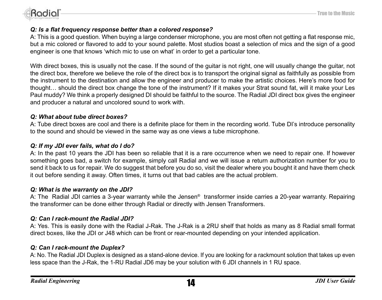

### *Q: Is a flat frequency response better than a colored response?*

A: This is a good question. When buying a large condenser microphone, you are most often not getting a flat response mic, but a mic colored or flavored to add to your sound palette. Most studios boast a selection of mics and the sign of a good engineer is one that knows 'which mic to use on what' in order to get a particular tone.

With direct boxes, this is usually not the case. If the sound of the guitar is not right, one will usually change the guitar, not the direct box, therefore we believe the role of the direct box is to transport the original signal as faithfully as possible from the instrument to the destination and allow the engineer and producer to make the artistic choices. Here's more food for thought… should the direct box change the tone of the instrument? If it makes your Strat sound fat, will it make your Les Paul muddy? We think a properly designed DI should be faithful to the source. The Radial JDI direct box gives the engineer and producer a natural and uncolored sound to work with.

### *Q: What about tube direct boxes?*

A: Tube direct boxes are cool and there is a definite place for them in the recording world. Tube DI's introduce personality to the sound and should be viewed in the same way as one views a tube microphone.

### *Q: If my JDI ever fails, what do I do?*

A: In the past 10 years the JDI has been so reliable that it is a rare occurrence when we need to repair one. If however something goes bad, a switch for example, simply call Radial and we will issue a return authorization number for you to send it back to us for repair. We do suggest that before you do so, visit the dealer where you bought it and have them check it out before sending it away. Often times, it turns out that bad cables are the actual problem.

### *Q: What is the warranty on the JDI?*

A: The Radial JDI carries a 3-year warranty while the Jensen<sup>®</sup> transformer inside carries a 20-year warranty. Repairing the transformer can be done either through Radial or directly with Jensen Transformers.

### *Q: Can I rack-mount the Radial JDI?*

A: Yes. This is easily done with the Radial J-Rak. The J-Rak is a 2RU shelf that holds as many as 8 Radial small format direct boxes, like the JDI or J48 which can be front or rear-mounted depending on your intended application.

### *Q: Can I rack-mount the Duplex?*

A: No. The Radial JDI Duplex is designed as a stand-alone device. If you are looking for a rackmount solution that takes up even less space than the J-Rak, the 1-RU Radial JD6 may be your solution with 6 JDI channels in 1 RU space.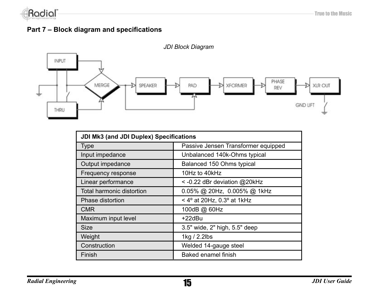

# **Part 7 – Block diagram and specifications**



| JDI Mk3 (and JDI Duplex) Specifications |                                              |  |
|-----------------------------------------|----------------------------------------------|--|
| <b>Type</b>                             | Passive Jensen Transformer equipped          |  |
| Input impedance                         | Unbalanced 140k-Ohms typical                 |  |
| Output impedance                        | Balanced 150 Ohms typical                    |  |
| Frequency response                      | 10Hz to 40kHz                                |  |
| Linear performance                      | < -0.22 dBr deviation @20kHz                 |  |
| Total harmonic distortion               | 0.05% @ 20Hz, 0.005% @ 1kHz                  |  |
| Phase distortion                        | < 4 $\degree$ at 20Hz, 0.3 $\degree$ at 1kHz |  |
| <b>CMR</b>                              | 100dB @ 60Hz                                 |  |
| Maximum input level                     | +22dBu                                       |  |
| Size                                    | 3.5" wide, 2" high, 5.5" deep                |  |
| Weight                                  | 1kg / 2.2lbs                                 |  |
| Construction                            | Welded 14-gauge steel                        |  |
| Finish                                  | Baked enamel finish                          |  |